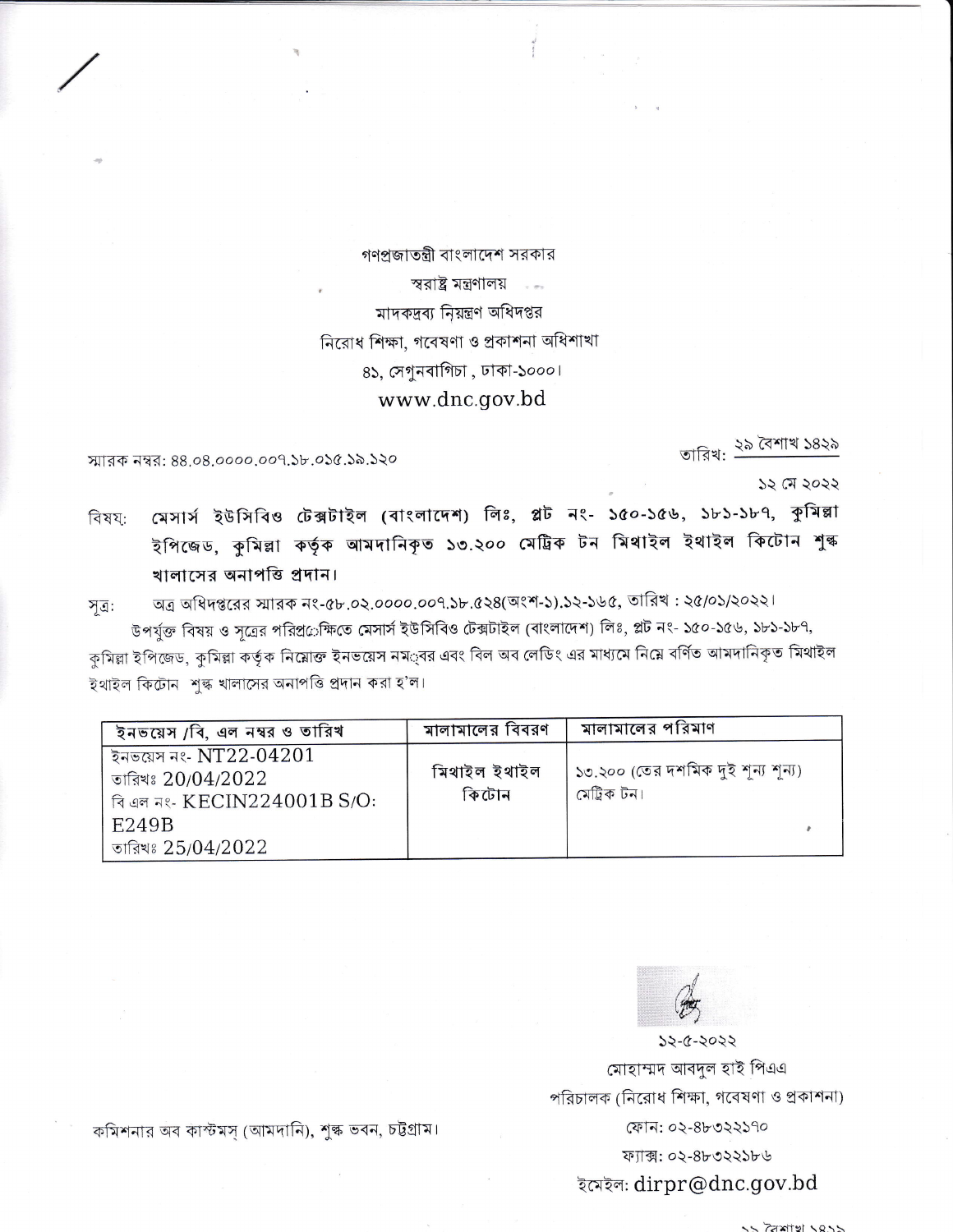গণপ্রজাতন্ত্রী বাংলাদেশ সরকার স্বরাষ্ট্র মন্ত্রণালয় কর মাদকদ্রব্য নিয়ন্ত্রণ অধিদপ্তর নিরোধ শিক্ষা, গবেষণা ও প্রকাশনা অধিশাখা ৪১, সেগুনবাগিচা, ঢাকা-১০০০। www.dnc.gov.bd

স্মারক নম্বর: 88.08.0000.009.১৮.০১৫.১৯.১২০

তারিখ: ২৯ বৈশাখ ১৪২৯

১২ মে ২০২২

মেসার্স ইউসিবিও টেক্সটাইল (বাংলাদেশ) লিঃ, প্লট নং- ১৫০-১৫৬, ১৮১-১৮৭, কুমিল্লা বিষয: ইপিজেড, কুমিল্লা কৰ্তৃক আমদানিকৃত ১৩.২০০ মেট্ৰিক টন মিথাইল ইথাইল কিটোন শুল্ক খালাসের অনাপত্তি প্রদান।

অত্র অধিদপ্তরের স্মারক নং-৫৮.০২.০০০০.০০৭.১৮.৫২৪(অংশ-১).১২-১৬৫, তারিখ : ২৫/০১/২০২২। সূত্র:

উপর্যুক্ত বিষয় ও সূত্রের পরিপ্র©ক্ষিতে মেসার্স ইউসিবিও টেক্সটাইল (বাংলাদেশ) লিঃ, প্লট নং- ১৫০-১৫৬, ১৮১-১৮৭, কুমিল্লা ইপিজেড, কুমিল্লা কর্তৃক নিম্নোক্ত ইনভয়েস নম $\circ$ ্বর এবং বিল অব লেডিং এর মাধ্যমে নিয়ে বর্ণিত আমদানিকৃত মিথাইল ইথাইল কিটোন শুল্ক খালাসের অনাপত্তি প্রদান করা হ'ল।

| ইনভয়েস /বি, এল নম্বর ও তারিখ                                                                        | মালামালের বিবরণ       | মালামালের পরিমাণ                                  |
|------------------------------------------------------------------------------------------------------|-----------------------|---------------------------------------------------|
| ইনভয়েস নং- ${\rm NT22\text{-}04201}$<br>তারিখঃ $20/04/2022$<br>বি এল নং- KECIN224001B S/O:<br>E249B | মিথাইল ইথাইল<br>কিটোন | ১৩.২০০ (তের দশমিক দুই শূন্য শূন্য)<br>মেট্ৰিক টন। |
| তারিখঃ $25/04/2022$                                                                                  |                       |                                                   |



2505-2057 মোহাম্মদ আবদুল হাই পিএএ পরিচালক (নিরোধ শিক্ষা, গবেষণা ও প্রকাশনা) ফোন: ০২-৪৮৩২২১৭০ ফ্যাক্স: ০২-৪৮৩২২১৮৬ ইমেইল: dirpr@dnc.gov.bd

কমিশনার অব কাস্টমস্ (আমদানি), শুল্ক ভবন, চট্টগ্রাম।

 $55.25$